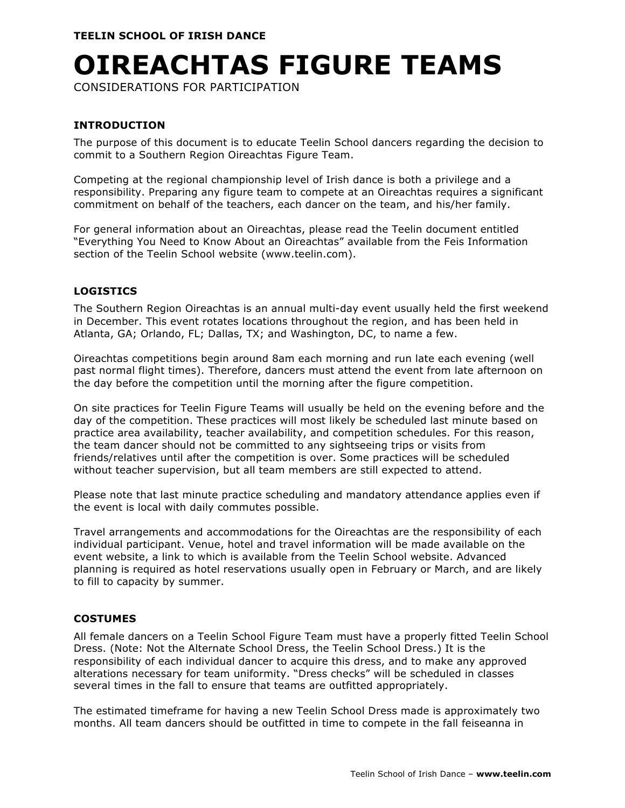# **OIREACHTAS FIGURE TEAMS**

CONSIDERATIONS FOR PARTICIPATION

# **INTRODUCTION**

The purpose of this document is to educate Teelin School dancers regarding the decision to commit to a Southern Region Oireachtas Figure Team.

Competing at the regional championship level of Irish dance is both a privilege and a responsibility. Preparing any figure team to compete at an Oireachtas requires a significant commitment on behalf of the teachers, each dancer on the team, and his/her family.

For general information about an Oireachtas, please read the Teelin document entitled "Everything You Need to Know About an Oireachtas" available from the Feis Information section of the Teelin School website (www.teelin.com).

## **LOGISTICS**

The Southern Region Oireachtas is an annual multi-day event usually held the first weekend in December. This event rotates locations throughout the region, and has been held in Atlanta, GA; Orlando, FL; Dallas, TX; and Washington, DC, to name a few.

Oireachtas competitions begin around 8am each morning and run late each evening (well past normal flight times). Therefore, dancers must attend the event from late afternoon on the day before the competition until the morning after the figure competition.

On site practices for Teelin Figure Teams will usually be held on the evening before and the day of the competition. These practices will most likely be scheduled last minute based on practice area availability, teacher availability, and competition schedules. For this reason, the team dancer should not be committed to any sightseeing trips or visits from friends/relatives until after the competition is over. Some practices will be scheduled without teacher supervision, but all team members are still expected to attend.

Please note that last minute practice scheduling and mandatory attendance applies even if the event is local with daily commutes possible.

Travel arrangements and accommodations for the Oireachtas are the responsibility of each individual participant. Venue, hotel and travel information will be made available on the event website, a link to which is available from the Teelin School website. Advanced planning is required as hotel reservations usually open in February or March, and are likely to fill to capacity by summer.

## **COSTUMES**

All female dancers on a Teelin School Figure Team must have a properly fitted Teelin School Dress. (Note: Not the Alternate School Dress, the Teelin School Dress.) It is the responsibility of each individual dancer to acquire this dress, and to make any approved alterations necessary for team uniformity. "Dress checks" will be scheduled in classes several times in the fall to ensure that teams are outfitted appropriately.

The estimated timeframe for having a new Teelin School Dress made is approximately two months. All team dancers should be outfitted in time to compete in the fall feiseanna in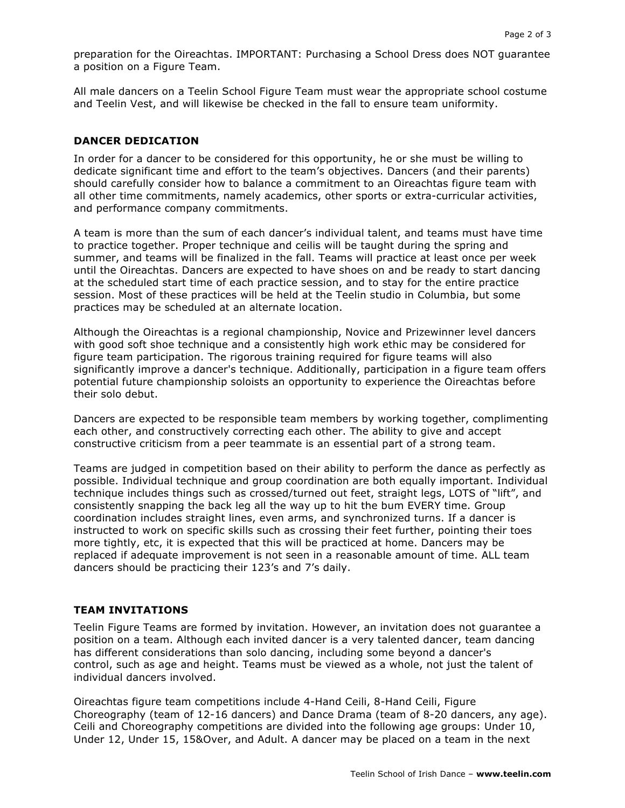preparation for the Oireachtas. IMPORTANT: Purchasing a School Dress does NOT guarantee a position on a Figure Team.

All male dancers on a Teelin School Figure Team must wear the appropriate school costume and Teelin Vest, and will likewise be checked in the fall to ensure team uniformity.

#### **DANCER DEDICATION**

In order for a dancer to be considered for this opportunity, he or she must be willing to dedicate significant time and effort to the team's objectives. Dancers (and their parents) should carefully consider how to balance a commitment to an Oireachtas figure team with all other time commitments, namely academics, other sports or extra-curricular activities, and performance company commitments.

A team is more than the sum of each dancer's individual talent, and teams must have time to practice together. Proper technique and ceilis will be taught during the spring and summer, and teams will be finalized in the fall. Teams will practice at least once per week until the Oireachtas. Dancers are expected to have shoes on and be ready to start dancing at the scheduled start time of each practice session, and to stay for the entire practice session. Most of these practices will be held at the Teelin studio in Columbia, but some practices may be scheduled at an alternate location.

Although the Oireachtas is a regional championship, Novice and Prizewinner level dancers with good soft shoe technique and a consistently high work ethic may be considered for figure team participation. The rigorous training required for figure teams will also significantly improve a dancer's technique. Additionally, participation in a figure team offers potential future championship soloists an opportunity to experience the Oireachtas before their solo debut.

Dancers are expected to be responsible team members by working together, complimenting each other, and constructively correcting each other. The ability to give and accept constructive criticism from a peer teammate is an essential part of a strong team.

Teams are judged in competition based on their ability to perform the dance as perfectly as possible. Individual technique and group coordination are both equally important. Individual technique includes things such as crossed/turned out feet, straight legs, LOTS of "lift", and consistently snapping the back leg all the way up to hit the bum EVERY time. Group coordination includes straight lines, even arms, and synchronized turns. If a dancer is instructed to work on specific skills such as crossing their feet further, pointing their toes more tightly, etc, it is expected that this will be practiced at home. Dancers may be replaced if adequate improvement is not seen in a reasonable amount of time. ALL team dancers should be practicing their 123's and 7's daily.

## **TEAM INVITATIONS**

Teelin Figure Teams are formed by invitation. However, an invitation does not guarantee a position on a team. Although each invited dancer is a very talented dancer, team dancing has different considerations than solo dancing, including some beyond a dancer's control, such as age and height. Teams must be viewed as a whole, not just the talent of individual dancers involved.

Oireachtas figure team competitions include 4-Hand Ceili, 8-Hand Ceili, Figure Choreography (team of 12-16 dancers) and Dance Drama (team of 8-20 dancers, any age). Ceili and Choreography competitions are divided into the following age groups: Under 10, Under 12, Under 15, 15&Over, and Adult. A dancer may be placed on a team in the next